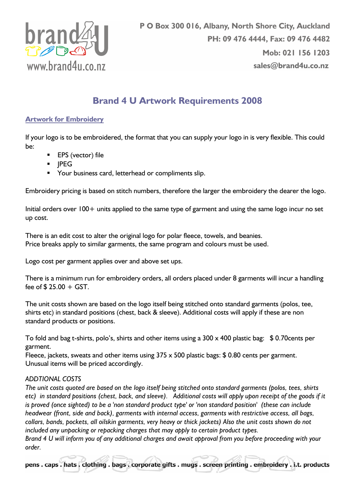

# Brand 4 U Artwork Requirements 2008

## Artwork for Embroidery

If your logo is to be embroidered, the format that you can supply your logo in is very flexible. This could be:

- EPS (vector) file
- **-** IPEG
- **Your business card, letterhead or compliments slip.**

Embroidery pricing is based on stitch numbers, therefore the larger the embroidery the dearer the logo.

Initial orders over 100+ units applied to the same type of garment and using the same logo incur no set up cost.

There is an edit cost to alter the original logo for polar fleece, towels, and beanies. Price breaks apply to similar garments, the same program and colours must be used.

Logo cost per garment applies over and above set ups.

There is a minimum run for embroidery orders, all orders placed under 8 garments will incur a handling fee of  $$ 25.00 + GST$ .

The unit costs shown are based on the logo itself being stitched onto standard garments (polos, tee, shirts etc) in standard positions (chest, back & sleeve). Additional costs will apply if these are non standard products or positions.

To fold and bag t-shirts, polo's, shirts and other items using a 300 x 400 plastic bag: \$ 0.70cents per garment.

Fleece, jackets, sweats and other items using  $375 \times 500$  plastic bags: \$0.80 cents per garment. Unusual items will be priced accordingly.

#### ADDTIONAL COSTS

The unit costs quoted are based on the logo itself being stitched onto standard garments (polos, tees, shirts etc) in standard positions (chest, back, and sleeve). Additional costs will apply upon receipt of the goods if it is proved (once sighted) to be a 'non standard product type' or 'non standard position' (these can include headwear (front, side and back), garments with internal access, garments with restrictive access, all bags, collars, bands, pockets, all oilskin garments, very heavy or thick jackets) Also the unit costs shown do not included any unpacking or repacking charges that may apply to certain product types. Brand 4 U will inform you of any additional charges and await approval from you before proceeding with your order.

pens. caps. hats. clothing. bags. corporate gifts. mugs. screen printing. embroidery. i.t. products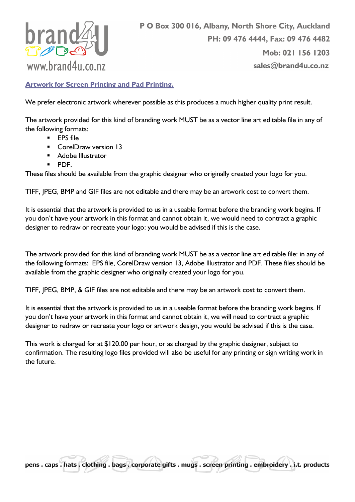

Artwork for Screen Printing and Pad Printing.

We prefer electronic artwork wherever possible as this produces a much higher quality print result.

The artwork provided for this kind of branding work MUST be as a vector line art editable file in any of the following formats:

- **EPS** file
- **CorelDraw version 13**
- Adobe Illustrator
- $\blacksquare$  PDF.

These files should be available from the graphic designer who originally created your logo for you.

TIFF, JPEG, BMP and GIF files are not editable and there may be an artwork cost to convert them.

It is essential that the artwork is provided to us in a useable format before the branding work begins. If you don't have your artwork in this format and cannot obtain it, we would need to contract a graphic designer to redraw or recreate your logo: you would be advised if this is the case.

The artwork provided for this kind of branding work MUST be as a vector line art editable file: in any of the following formats: EPS file, CorelDraw version 13, Adobe Illustrator and PDF. These files should be available from the graphic designer who originally created your logo for you.

TIFF, JPEG, BMP, & GIF files are not editable and there may be an artwork cost to convert them.

It is essential that the artwork is provided to us in a useable format before the branding work begins. If you don't have your artwork in this format and cannot obtain it, we will need to contract a graphic designer to redraw or recreate your logo or artwork design, you would be advised if this is the case.

This work is charged for at \$120.00 per hour, or as charged by the graphic designer, subject to confirmation. The resulting logo files provided will also be useful for any printing or sign writing work in the future.